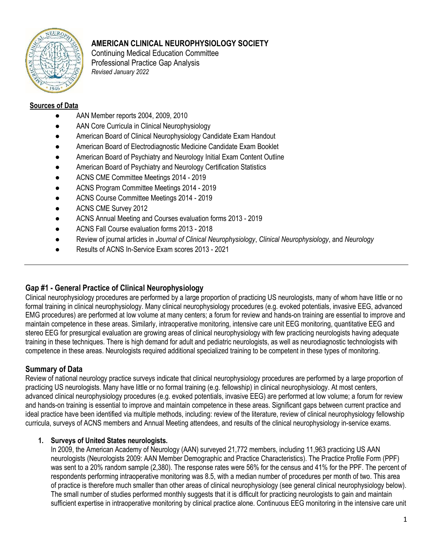

# AMERICAN CLINICAL NEUROPHYSIOLOGY SOCIETY

Continuing Medical Education Committee Professional Practice Gap Analysis Revised January 2022

#### Sources of Data

- AAN Member reports 2004, 2009, 2010
- AAN Core Curricula in Clinical Neurophysiology
- American Board of Clinical Neurophysiology Candidate Exam Handout
- American Board of Electrodiagnostic Medicine Candidate Exam Booklet
- American Board of Psychiatry and Neurology Initial Exam Content Outline
- American Board of Psychiatry and Neurology Certification Statistics
- ACNS CME Committee Meetings 2014 2019
- ACNS Program Committee Meetings 2014 2019
- ACNS Course Committee Meetings 2014 2019
- ACNS CME Survey 2012
- ACNS Annual Meeting and Courses evaluation forms 2013 2019
- ACNS Fall Course evaluation forms 2013 2018
- Review of journal articles in Journal of Clinical Neurophysiology, Clinical Neurophysiology, and Neurology
- Results of ACNS In-Service Exam scores 2013 2021

### Gap #1 - General Practice of Clinical Neurophysiology

Clinical neurophysiology procedures are performed by a large proportion of practicing US neurologists, many of whom have little or no formal training in clinical neurophysiology. Many clinical neurophysiology procedures (e.g. evoked potentials, invasive EEG, advanced EMG procedures) are performed at low volume at many centers; a forum for review and hands-on training are essential to improve and maintain competence in these areas. Similarly, intraoperative monitoring, intensive care unit EEG monitoring, quantitative EEG and stereo EEG for presurgical evaluation are growing areas of clinical neurophysiology with few practicing neurologists having adequate training in these techniques. There is high demand for adult and pediatric neurologists, as well as neurodiagnostic technologists with competence in these areas. Neurologists required additional specialized training to be competent in these types of monitoring.

#### Summary of Data

Review of national neurology practice surveys indicate that clinical neurophysiology procedures are performed by a large proportion of practicing US neurologists. Many have little or no formal training (e.g. fellowship) in clinical neurophysiology. At most centers, advanced clinical neurophysiology procedures (e.g. evoked potentials, invasive EEG) are performed at low volume; a forum for review and hands-on training is essential to improve and maintain competence in these areas. Significant gaps between current practice and ideal practice have been identified via multiple methods, including: review of the literature, review of clinical neurophysiology fellowship curricula, surveys of ACNS members and Annual Meeting attendees, and results of the clinical neurophysiology in-service exams.

#### 1. Surveys of United States neurologists.

In 2009, the American Academy of Neurology (AAN) surveyed 21,772 members, including 11,963 practicing US AAN neurologists (Neurologists 2009: AAN Member Demographic and Practice Characteristics). The Practice Profile Form (PPF) was sent to a 20% random sample (2,380). The response rates were 56% for the census and 41% for the PPF. The percent of respondents performing intraoperative monitoring was 8.5, with a median number of procedures per month of two. This area of practice is therefore much smaller than other areas of clinical neurophysiology (see general clinical neurophysiology below). The small number of studies performed monthly suggests that it is difficult for practicing neurologists to gain and maintain sufficient expertise in intraoperative monitoring by clinical practice alone. Continuous EEG monitoring in the intensive care unit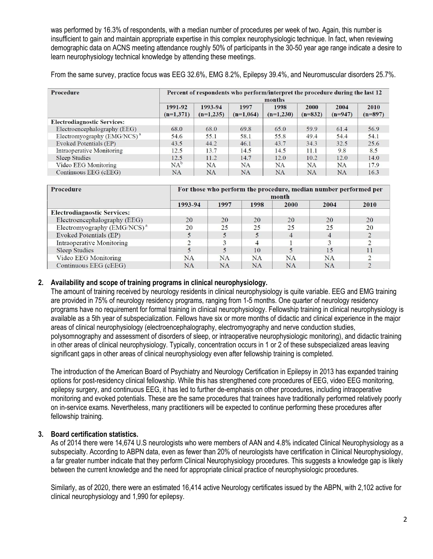was performed by 16.3% of respondents, with a median number of procedures per week of two. Again, this number is insufficient to gain and maintain appropriate expertise in this complex neurophysiologic technique. In fact, when reviewing demographic data on ACNS meeting attendance roughly 50% of participants in the 30-50 year age range indicate a desire to learn neurophysiology technical knowledge by attending these meetings.

From the same survey, practice focus was EEG 32.6%, EMG 8.2%, Epilepsy 39.4%, and Neuromuscular disorders 25.7%.

| Procedure                          | Percent of respondents who perform/interpret the procedure during the last 12<br>months |                        |                     |                     |                   |                   |                   |  |  |  |  |
|------------------------------------|-----------------------------------------------------------------------------------------|------------------------|---------------------|---------------------|-------------------|-------------------|-------------------|--|--|--|--|
|                                    | 1991-92<br>$(n=1,371)$                                                                  | 1993-94<br>$(n=1,235)$ | 1997<br>$(n=1.064)$ | 1998<br>$(n=1,230)$ | 2000<br>$(n=832)$ | 2004<br>$(n=947)$ | 2010<br>$(n=897)$ |  |  |  |  |
| <b>Electrodiagnostic Services:</b> |                                                                                         |                        |                     |                     |                   |                   |                   |  |  |  |  |
| Electroencephalography (EEG)       | 68.0                                                                                    | 68.0                   | 69.8                | 65.0                | 59.9              | 61.4              | 56.9              |  |  |  |  |
| Electromyography $(EMG/NCS)^a$     | 54.6                                                                                    | 55.1                   | 58.1                | 55.8                | 49.4              | 54.4              | 54.1              |  |  |  |  |
| Evoked Potentials (EP)             | 43.5                                                                                    | 44.2                   | 46.1                | 43.7                | 34.3              | 32.5              | 25.6              |  |  |  |  |
| Intraoperative Monitoring          | 12.5                                                                                    | 13.7                   | 14.5                | 14.5                | 11.1              | 9.8               | 8.5               |  |  |  |  |
| <b>Sleep Studies</b>               | 12.5                                                                                    | 11.2                   | 14.7                | 12.0                | 10.2              | 12.0              | 14.0              |  |  |  |  |
| Video EEG Monitoring               | $NA^b$                                                                                  | NA                     | <b>NA</b>           | NA                  | <b>NA</b>         | <b>NA</b>         | 17.9              |  |  |  |  |
| Continuous EEG (cEEG)              | <b>NA</b>                                                                               | <b>NA</b>              | <b>NA</b>           | NA                  | <b>NA</b>         | <b>NA</b>         | 16.3              |  |  |  |  |

| <b>Procedure</b>                        | For those who perform the procedure, median number performed per<br>month |           |           |           |      |      |  |  |  |
|-----------------------------------------|---------------------------------------------------------------------------|-----------|-----------|-----------|------|------|--|--|--|
|                                         | 1993-94                                                                   | 1997      | 1998      | 2000      | 2004 | 2010 |  |  |  |
| <b>Electrodiagnostic Services:</b>      |                                                                           |           |           |           |      |      |  |  |  |
| Electroencephalography (EEG)            | 20                                                                        | 20        | 20        | 20        | 20   | 20   |  |  |  |
| Electromyography (EMG/NCS) <sup>a</sup> | 20                                                                        | 25        | 25        | 25        | 25   | 20   |  |  |  |
| Evoked Potentials (EP)                  |                                                                           |           |           |           | 4    |      |  |  |  |
| Intraoperative Monitoring               |                                                                           |           | $\Delta$  |           |      |      |  |  |  |
| <b>Sleep Studies</b>                    |                                                                           |           | 10        |           | 15   | 11   |  |  |  |
| Video EEG Monitoring                    | <b>NA</b>                                                                 | <b>NA</b> | <b>NA</b> | <b>NA</b> | NA   |      |  |  |  |
| Continuous EEG (cEEG)                   | NA                                                                        | <b>NA</b> | <b>NA</b> | <b>NA</b> | NA   |      |  |  |  |

#### 2. Availability and scope of training programs in clinical neurophysiology.

The amount of training received by neurology residents in clinical neurophysiology is quite variable. EEG and EMG training are provided in 75% of neurology residency programs, ranging from 1-5 months. One quarter of neurology residency programs have no requirement for formal training in clinical neurophysiology. Fellowship training in clinical neurophysiology is available as a 5th year of subspecialization. Fellows have six or more months of didactic and clinical experience in the major areas of clinical neurophysiology (electroencephalography, electromyography and nerve conduction studies, polysomnography and assessment of disorders of sleep, or intraoperative neurophysiologic monitoring), and didactic training in other areas of clinical neurophysiology. Typically, concentration occurs in 1 or 2 of these subspecialized areas leaving significant gaps in other areas of clinical neurophysiology even after fellowship training is completed.

The introduction of the American Board of Psychiatry and Neurology Certification in Epilepsy in 2013 has expanded training options for post-residency clinical fellowship. While this has strengthened core procedures of EEG, video EEG monitoring, epilepsy surgery, and continuous EEG, it has led to further de-emphasis on other procedures, including intraoperative monitoring and evoked potentials. These are the same procedures that trainees have traditionally performed relatively poorly on in-service exams. Nevertheless, many practitioners will be expected to continue performing these procedures after fellowship training.

#### 3. Board certification statistics.

As of 2014 there were 14,674 U.S neurologists who were members of AAN and 4.8% indicated Clinical Neurophysiology as a subspecialty. According to ABPN data, even as fewer than 20% of neurologists have certification in Clinical Neurophysiology, a far greater number indicate that they perform Clinical Neurophysiology procedures. This suggests a knowledge gap is likely between the current knowledge and the need for appropriate clinical practice of neurophysiologic procedures.

Similarly, as of 2020, there were an estimated 16,414 active Neurology certificates issued by the ABPN, with 2,102 active for clinical neurophysiology and 1,990 for epilepsy.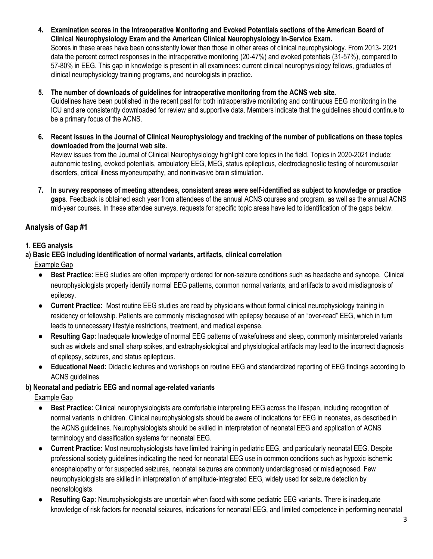- 4. Examination scores in the Intraoperative Monitoring and Evoked Potentials sections of the American Board of Clinical Neurophysiology Exam and the American Clinical Neurophysiology In-Service Exam. Scores in these areas have been consistently lower than those in other areas of clinical neurophysiology. From 2013- 2021 data the percent correct responses in the intraoperative monitoring (20-47%) and evoked potentials (31-57%), compared to 57-80% in EEG. This gap in knowledge is present in all examinees: current clinical neurophysiology fellows, graduates of clinical neurophysiology training programs, and neurologists in practice.
- 5. The number of downloads of guidelines for intraoperative monitoring from the ACNS web site. Guidelines have been published in the recent past for both intraoperative monitoring and continuous EEG monitoring in the ICU and are consistently downloaded for review and supportive data. Members indicate that the guidelines should continue to be a primary focus of the ACNS.
- 6. Recent issues in the Journal of Clinical Neurophysiology and tracking of the number of publications on these topics downloaded from the journal web site.

Review issues from the Journal of Clinical Neurophysiology highlight core topics in the field. Topics in 2020-2021 include: autonomic testing, evoked potentials, ambulatory EEG, MEG, status epilepticus, electrodiagnostic testing of neuromuscular disorders, critical illness myoneuropathy, and noninvasive brain stimulation.

7. In survey responses of meeting attendees, consistent areas were self-identified as subject to knowledge or practice gaps. Feedback is obtained each year from attendees of the annual ACNS courses and program, as well as the annual ACNS mid-year courses. In these attendee surveys, requests for specific topic areas have led to identification of the gaps below.

# Analysis of Gap #1

#### 1. EEG analysis

- a) Basic EEG including identification of normal variants, artifacts, clinical correlation Example Gap
	- Best Practice: EEG studies are often improperly ordered for non-seizure conditions such as headache and syncope. Clinical neurophysiologists properly identify normal EEG patterns, common normal variants, and artifacts to avoid misdiagnosis of epilepsy.
	- **Current Practice:** Most routine EEG studies are read by physicians without formal clinical neurophysiology training in residency or fellowship. Patients are commonly misdiagnosed with epilepsy because of an "over-read" EEG, which in turn leads to unnecessary lifestyle restrictions, treatment, and medical expense.
	- Resulting Gap: Inadequate knowledge of normal EEG patterns of wakefulness and sleep, commonly misinterpreted variants such as wickets and small sharp spikes, and extraphysiological and physiological artifacts may lead to the incorrect diagnosis of epilepsy, seizures, and status epilepticus.
	- Educational Need: Didactic lectures and workshops on routine EEG and standardized reporting of EEG findings according to ACNS guidelines

### b) Neonatal and pediatric EEG and normal age-related variants

- Best Practice: Clinical neurophysiologists are comfortable interpreting EEG across the lifespan, including recognition of normal variants in children. Clinical neurophysiologists should be aware of indications for EEG in neonates, as described in the ACNS guidelines. Neurophysiologists should be skilled in interpretation of neonatal EEG and application of ACNS terminology and classification systems for neonatal EEG.
- Current Practice: Most neurophysiologists have limited training in pediatric EEG, and particularly neonatal EEG. Despite professional society guidelines indicating the need for neonatal EEG use in common conditions such as hypoxic ischemic encephalopathy or for suspected seizures, neonatal seizures are commonly underdiagnosed or misdiagnosed. Few neurophysiologists are skilled in interpretation of amplitude-integrated EEG, widely used for seizure detection by neonatologists.
- **Resulting Gap:** Neurophysiologists are uncertain when faced with some pediatric EEG variants. There is inadequate knowledge of risk factors for neonatal seizures, indications for neonatal EEG, and limited competence in performing neonatal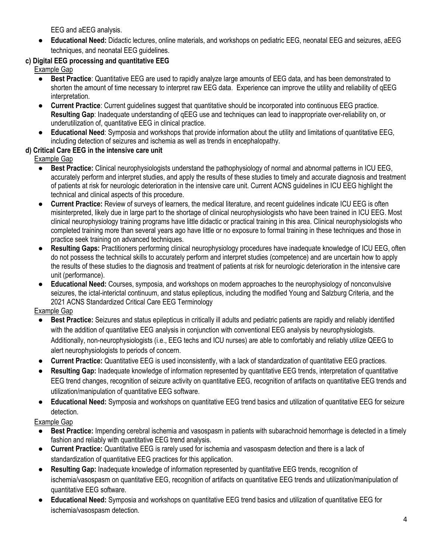EEG and aEEG analysis.

● Educational Need: Didactic lectures, online materials, and workshops on pediatric EEG, neonatal EEG and seizures, aEEG techniques, and neonatal EEG guidelines.

# c) Digital EEG processing and quantitative EEG

Example Gap

- Best Practice: Quantitative EEG are used to rapidly analyze large amounts of EEG data, and has been demonstrated to shorten the amount of time necessary to interpret raw EEG data. Experience can improve the utility and reliability of qEEG interpretation.
- Current Practice: Current guidelines suggest that quantitative should be incorporated into continuous EEG practice. Resulting Gap: Inadequate understanding of qEEG use and techniques can lead to inappropriate over-reliability on, or underutilization of, quantitative EEG in clinical practice.
- Educational Need: Symposia and workshops that provide information about the utility and limitations of quantitative EEG, including detection of seizures and ischemia as well as trends in encephalopathy.

# d) Critical Care EEG in the intensive care unit

Example Gap

- Best Practice: Clinical neurophysiologists understand the pathophysiology of normal and abnormal patterns in ICU EEG, accurately perform and interpret studies, and apply the results of these studies to timely and accurate diagnosis and treatment of patients at risk for neurologic deterioration in the intensive care unit. Current ACNS guidelines in ICU EEG highlight the technical and clinical aspects of this procedure.
- Current Practice: Review of surveys of learners, the medical literature, and recent guidelines indicate ICU EEG is often misinterpreted, likely due in large part to the shortage of clinical neurophysiologists who have been trained in ICU EEG. Most clinical neurophysiology training programs have little didactic or practical training in this area. Clinical neurophysiologists who completed training more than several years ago have little or no exposure to formal training in these techniques and those in practice seek training on advanced techniques.
- Resulting Gaps: Practitioners performing clinical neurophysiology procedures have inadequate knowledge of ICU EEG, often do not possess the technical skills to accurately perform and interpret studies (competence) and are uncertain how to apply the results of these studies to the diagnosis and treatment of patients at risk for neurologic deterioration in the intensive care unit (performance).
- **Educational Need:** Courses, symposia, and workshops on modern approaches to the neurophysiology of nonconvulsive seizures, the ictal-interictal continuum, and status epilepticus, including the modified Young and Salzburg Criteria, and the 2021 ACNS Standardized Critical Care EEG Terminology

Example Gap

- Best Practice: Seizures and status epilepticus in critically ill adults and pediatric patients are rapidly and reliably identified with the addition of quantitative EEG analysis in conjunction with conventional EEG analysis by neurophysiologists. Additionally, non-neurophysiologists (i.e., EEG techs and ICU nurses) are able to comfortably and reliably utilize QEEG to alert neurophysiologists to periods of concern.
- Current Practice: Quantitative EEG is used inconsistently, with a lack of standardization of quantitative EEG practices.
- Resulting Gap: Inadequate knowledge of information represented by quantitative EEG trends, interpretation of quantitative EEG trend changes, recognition of seizure activity on quantitative EEG, recognition of artifacts on quantitative EEG trends and utilization/manipulation of quantitative EEG software.
- Educational Need: Symposia and workshops on quantitative EEG trend basics and utilization of quantitative EEG for seizure detection.

- Best Practice: Impending cerebral ischemia and vasospasm in patients with subarachnoid hemorrhage is detected in a timely fashion and reliably with quantitative EEG trend analysis.
- **Current Practice:** Quantitative EEG is rarely used for ischemia and vasospasm detection and there is a lack of standardization of quantitative EEG practices for this application.
- Resulting Gap: Inadequate knowledge of information represented by quantitative EEG trends, recognition of ischemia/vasospasm on quantitative EEG, recognition of artifacts on quantitative EEG trends and utilization/manipulation of quantitative EEG software.
- Educational Need: Symposia and workshops on quantitative EEG trend basics and utilization of quantitative EEG for ischemia/vasospasm detection.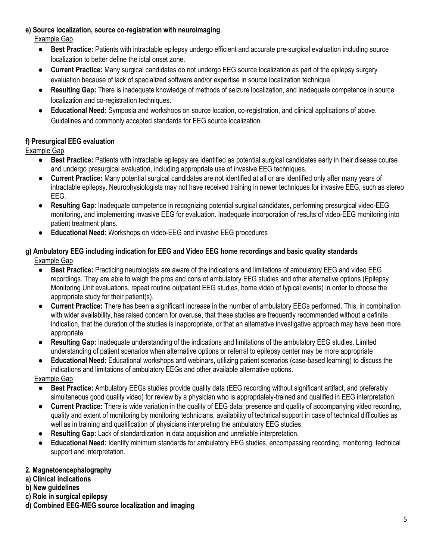### e) Source localization, source co-registration with neuroimaging

Example Gap

- Best Practice: Patients with intractable epilepsy undergo efficient and accurate pre-surgical evaluation including source localization to better define the ictal onset zone.
- Current Practice: Many surgical candidates do not undergo EEG source localization as part of the epilepsy surgery evaluation because of lack of specialized software and/or expertise in source localization technique.
- Resulting Gap: There is inadequate knowledge of methods of seizure localization, and inadequate competence in source localization and co-registration techniques.
- Educational Need: Symposia and workshops on source location, co-registration, and clinical applications of above. Guidelines and commonly accepted standards for EEG source localization.

# f) Presurgical EEG evaluation

**Example Gap** 

- Best Practice: Patients with intractable epilepsy are identified as potential surgical candidates early in their disease course and undergo presurgical evaluation, including appropriate use of invasive EEG techniques.
- Current Practice: Many potential surgical candidates are not identified at all or are identified only after many years of intractable epilepsy. Neurophysiologists may not have received training in newer techniques for invasive EEG, such as stereo EEG.
- Resulting Gap: Inadequate competence in recognizing potential surgical candidates, performing presurgical video-EEG monitoring, and implementing invasive EEG for evaluation. Inadequate incorporation of results of video-EEG monitoring into patient treatment plans.
- Educational Need: Workshops on video-EEG and invasive EEG procedures

#### g) Ambulatory EEG including indication for EEG and Video EEG home recordings and basic quality standards Example Gap

- Best Practice: Practicing neurologists are aware of the indications and limitations of ambulatory EEG and video EEG recordings. They are able to weigh the pros and cons of ambulatory EEG studies and other alternative options (Epilepsy Monitoring Unit evaluations, repeat routine outpatient EEG studies, home video of typical events) in order to choose the appropriate study for their patient(s).
- **Current Practice:** There has been a significant increase in the number of ambulatory EEGs performed. This, in combination with wider availability, has raised concern for overuse, that these studies are frequently recommended without a definite indication, that the duration of the studies is inappropriate, or that an alternative investigative approach may have been more appropriate.
- **Resulting Gap:** Inadequate understanding of the indications and limitations of the ambulatory EEG studies. Limited understanding of patient scenarios when alternative options or referral to epilepsy center may be more appropriate
- Educational Need: Educational workshops and webinars, utilizing patient scenarios (case-based learning) to discuss the indications and limitations of ambulatory EEGs and other available alternative options.

Example Gap

- Best Practice: Ambulatory EEGs studies provide quality data (EEG recording without significant artifact, and preferably simultaneous good quality video) for review by a physician who is appropriately-trained and qualified in EEG interpretation.
- Current Practice: There is wide variation in the quality of EEG data, presence and quality of accompanying video recording, quality and extent of monitoring by monitoring technicians, availability of technical support in case of technical difficulties as well as in training and qualification of physicians interpreting the ambulatory EEG studies.
- Resulting Gap: Lack of standardization in data acquisition and unreliable interpretation.
- Educational Need: Identify minimum standards for ambulatory EEG studies, encompassing recording, monitoring, technical support and interpretation.

### 2. Magnetoencephalography

- a) Clinical indications
- b) New guidelines
- c) Role in surgical epilepsy
- d) Combined EEG-MEG source localization and imaging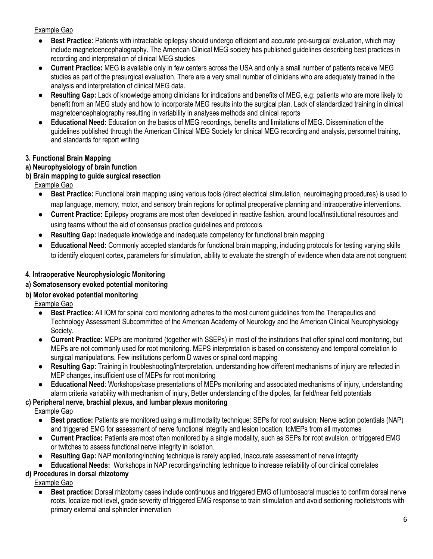#### Example Gap

- **Best Practice:** Patients with intractable epilepsy should undergo efficient and accurate pre-surgical evaluation, which may include magnetoencephalography. The American Clinical MEG society has published guidelines describing best practices in recording and interpretation of clinical MEG studies
- **Current Practice:** MEG is available only in few centers across the USA and only a small number of patients receive MEG studies as part of the presurgical evaluation. There are a very small number of clinicians who are adequately trained in the analysis and interpretation of clinical MEG data.
- Resulting Gap: Lack of knowledge among clinicians for indications and benefits of MEG, e.g: patients who are more likely to benefit from an MEG study and how to incorporate MEG results into the surgical plan. Lack of standardized training in clinical magnetoencephalography resulting in variability in analyses methods and clinical reports
- Educational Need: Education on the basics of MEG recordings, benefits and limitations of MEG. Dissemination of the guidelines published through the American Clinical MEG Society for clinical MEG recording and analysis, personnel training, and standards for report writing.

#### 3. Functional Brain Mapping

### a) Neurophysiology of brain function

### b) Brain mapping to guide surgical resection

#### Example Gap

- Best Practice: Functional brain mapping using various tools (direct electrical stimulation, neuroimaging procedures) is used to map language, memory, motor, and sensory brain regions for optimal preoperative planning and intraoperative interventions.
- Current Practice: Epilepsy programs are most often developed in reactive fashion, around local/institutional resources and using teams without the aid of consensus practice guidelines and protocols.
- Resulting Gap: Inadequate knowledge and inadequate competency for functional brain mapping
- Educational Need: Commonly accepted standards for functional brain mapping, including protocols for testing varying skills to identify eloquent cortex, parameters for stimulation, ability to evaluate the strength of evidence when data are not congruent

### 4. Intraoperative Neurophysiologic Monitoring

#### a) Somatosensory evoked potential monitoring

#### b) Motor evoked potential monitoring

Example Gap

- **Best Practice:** All IOM for spinal cord monitoring adheres to the most current guidelines from the Therapeutics and Technology Assessment Subcommittee of the American Academy of Neurology and the American Clinical Neurophysiology Society.
- Current Practice: MEPs are monitored (together with SSEPs) in most of the institutions that offer spinal cord monitoring, but MEPs are not commonly used for root monitoring. MEPS interpretation is based on consistency and temporal correlation to surgical manipulations. Few institutions perform D waves or spinal cord mapping
- Resulting Gap: Training in troubleshooting/interpretation, understanding how different mechanisms of injury are reflected in MEP changes, insufficient use of MEPs for root monitoring
- Educational Need: Workshops/case presentations of MEPs monitoring and associated mechanisms of injury, understanding alarm criteria variability with mechanism of injury, Better understanding of the dipoles, far field/near field potentials

#### c) Peripheral nerve, brachial plexus, and lumbar plexus monitoring

Example Gap

- Best practice: Patients are monitored using a multimodality technique: SEPs for root avulsion; Nerve action potentials (NAP) and triggered EMG for assessment of nerve functional integrity and lesion location; tcMEPs from all myotomes
- Current Practice: Patients are most often monitored by a single modality, such as SEPs for root avulsion, or triggered EMG or twitches to assess functional nerve integrity in isolation.
- Resulting Gap: NAP monitoring/inching technique is rarely applied, Inaccurate assessment of nerve integrity
- Educational Needs: Workshops in NAP recordings/inching technique to increase reliability of our clinical correlates

### d) Procedures in dorsal rhizotomy

Example Gap

Best practice: Dorsal rhizotomy cases include continuous and triggered EMG of lumbosacral muscles to confirm dorsal nerve roots, localize root level, grade severity of triggered EMG response to train stimulation and avoid sectioning rootlets/roots with primary external anal sphincter innervation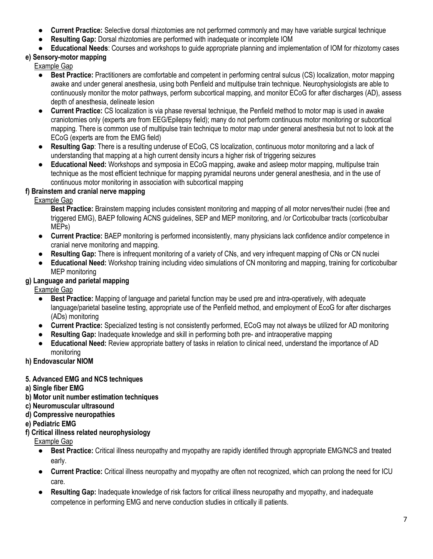- Current Practice: Selective dorsal rhizotomies are not performed commonly and may have variable surgical technique
- Resulting Gap: Dorsal rhizotomies are performed with inadequate or incomplete IOM
- Educational Needs: Courses and workshops to quide appropriate planning and implementation of IOM for rhizotomy cases

# e) Sensory-motor mapping

Example Gap

- Best Practice: Practitioners are comfortable and competent in performing central sulcus (CS) localization, motor mapping awake and under general anesthesia, using both Penfield and multipulse train technique. Neurophysiologists are able to continuously monitor the motor pathways, perform subcortical mapping, and monitor ECoG for after discharges (AD), assess depth of anesthesia, delineate lesion
- **Current Practice:** CS localization is via phase reversal technique, the Penfield method to motor map is used in awake craniotomies only (experts are from EEG/Epilepsy field); many do not perform continuous motor monitoring or subcortical mapping. There is common use of multipulse train technique to motor map under general anesthesia but not to look at the ECoG (experts are from the EMG field)
- Resulting Gap: There is a resulting underuse of ECoG, CS localization, continuous motor monitoring and a lack of understanding that mapping at a high current density incurs a higher risk of triggering seizures
- Educational Need: Workshops and symposia in ECoG mapping, awake and asleep motor mapping, multipulse train technique as the most efficient technique for mapping pyramidal neurons under general anesthesia, and in the use of continuous motor monitoring in association with subcortical mapping

### f) Brainstem and cranial nerve mapping

Example Gap

Best Practice: Brainstem mapping includes consistent monitoring and mapping of all motor nerves/their nuclei (free and triggered EMG), BAEP following ACNS guidelines, SEP and MEP monitoring, and /or Corticobulbar tracts (corticobulbar MEPs)

- Current Practice: BAEP monitoring is performed inconsistently, many physicians lack confidence and/or competence in cranial nerve monitoring and mapping.
- Resulting Gap: There is infrequent monitoring of a variety of CNs, and very infrequent mapping of CNs or CN nuclei
- **Educational Need:** Workshop training including video simulations of CN monitoring and mapping, training for corticobulbar MEP monitoring

### g) Language and parietal mapping

Example Gap

- Best Practice: Mapping of language and parietal function may be used pre and intra-operatively, with adequate language/parietal baseline testing, appropriate use of the Penfield method, and employment of EcoG for after discharges (ADs) monitoring
- Current Practice: Specialized testing is not consistently performed, ECoG may not always be utilized for AD monitoring
- Resulting Gap: Inadequate knowledge and skill in performing both pre- and intraoperative mapping
- Educational Need: Review appropriate battery of tasks in relation to clinical need, understand the importance of AD monitoring
- h) Endovascular NIOM

# 5. Advanced EMG and NCS techniques

- a) Single fiber EMG
- b) Motor unit number estimation techniques
- c) Neuromuscular ultrasound
- d) Compressive neuropathies
- e) Pediatric EMG
- f) Critical illness related neurophysiology

- Best Practice: Critical illness neuropathy and myopathy are rapidly identified through appropriate EMG/NCS and treated early.
- Current Practice: Critical illness neuropathy and myopathy are often not recognized, which can prolong the need for ICU care.
- Resulting Gap: Inadequate knowledge of risk factors for critical illness neuropathy and myopathy, and inadequate competence in performing EMG and nerve conduction studies in critically ill patients.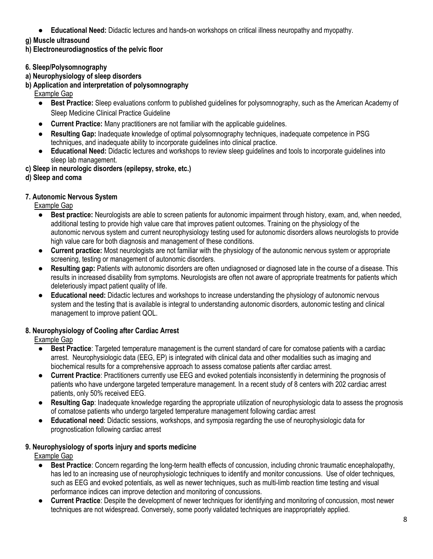- Educational Need: Didactic lectures and hands-on workshops on critical illness neuropathy and myopathy.
- g) Muscle ultrasound

h) Electroneurodiagnostics of the pelvic floor

- 6. Sleep/Polysomnography
- a) Neurophysiology of sleep disorders
- b) Application and interpretation of polysomnography
	- Example Gap
		- Best Practice: Sleep evaluations conform to published guidelines for polysomnography, such as the American Academy of Sleep Medicine Clinical Practice Guideline
		- Current Practice: Many practitioners are not familiar with the applicable guidelines.
		- **Resulting Gap:** Inadequate knowledge of optimal polysomnography techniques, inadequate competence in PSG techniques, and inadequate ability to incorporate guidelines into clinical practice.
	- Educational Need: Didactic lectures and workshops to review sleep guidelines and tools to incorporate guidelines into sleep lab management.
- c) Sleep in neurologic disorders (epilepsy, stroke, etc.)
- d) Sleep and coma

### 7. Autonomic Nervous System

Example Gap

- Best practice: Neurologists are able to screen patients for autonomic impairment through history, exam, and, when needed, additional testing to provide high value care that improves patient outcomes. Training on the physiology of the autonomic nervous system and current neurophysiology testing used for autonomic disorders allows neurologists to provide high value care for both diagnosis and management of these conditions.
- Current practice: Most neurologists are not familiar with the physiology of the autonomic nervous system or appropriate screening, testing or management of autonomic disorders.
- Resulting gap: Patients with autonomic disorders are often undiagnosed or diagnosed late in the course of a disease. This results in increased disability from symptoms. Neurologists are often not aware of appropriate treatments for patients which deleteriously impact patient quality of life.
- Educational need: Didactic lectures and workshops to increase understanding the physiology of autonomic nervous system and the testing that is available is integral to understanding autonomic disorders, autonomic testing and clinical management to improve patient QOL.

# 8. Neurophysiology of Cooling after Cardiac Arrest

Example Gap

- Best Practice: Targeted temperature management is the current standard of care for comatose patients with a cardiac arrest. Neurophysiologic data (EEG, EP) is integrated with clinical data and other modalities such as imaging and biochemical results for a comprehensive approach to assess comatose patients after cardiac arrest.
- Current Practice: Practitioners currently use EEG and evoked potentials inconsistently in determining the prognosis of patients who have undergone targeted temperature management. In a recent study of 8 centers with 202 cardiac arrest patients, only 50% received EEG.
- Resulting Gap: Inadequate knowledge regarding the appropriate utilization of neurophysiologic data to assess the prognosis of comatose patients who undergo targeted temperature management following cardiac arrest
- Educational need: Didactic sessions, workshops, and symposia regarding the use of neurophysiologic data for prognostication following cardiac arrest

### 9. Neurophysiology of sports injury and sports medicine

- Best Practice: Concern regarding the long-term health effects of concussion, including chronic traumatic encephalopathy, has led to an increasing use of neurophysiologic techniques to identify and monitor concussions. Use of older techniques, such as EEG and evoked potentials, as well as newer techniques, such as multi-limb reaction time testing and visual performance indices can improve detection and monitoring of concussions.
- **Current Practice:** Despite the development of newer techniques for identifying and monitoring of concussion, most newer techniques are not widespread. Conversely, some poorly validated techniques are inappropriately applied.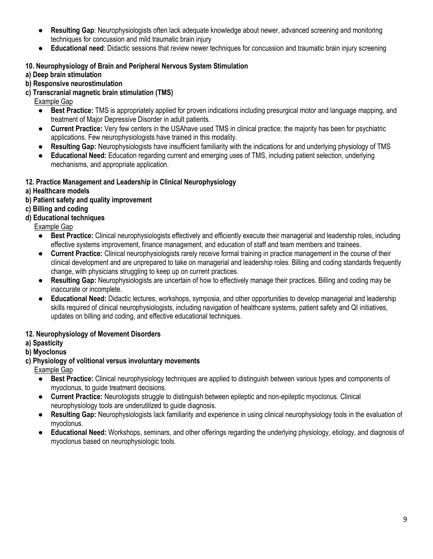- Resulting Gap: Neurophysiologists often lack adequate knowledge about newer, advanced screening and monitoring techniques for concussion and mild traumatic brain injury
- Educational need: Didactic sessions that review newer techniques for concussion and traumatic brain injury screening

### 10. Neurophysiology of Brain and Peripheral Nervous System Stimulation

- a) Deep brain stimulation
- b) Responsive neurostimulation
- c) Transcranial magnetic brain stimulation (TMS)

Example Gap

- Best Practice: TMS is appropriately applied for proven indications including presurgical motor and language mapping, and treatment of Major Depressive Disorder in adult patients.
- Current Practice: Very few centers in the USAhave used TMS in clinical practice; the majority has been for psychiatric applications. Few neurophysiologists have trained in this modality.
- Resulting Gap: Neurophysiologists have insufficient familiarity with the indications for and underlying physiology of TMS
- Educational Need: Education regarding current and emerging uses of TMS, including patient selection, underlying mechanisms, and appropriate application.

#### 12. Practice Management and Leadership in Clinical Neurophysiology

- a) Healthcare models
- b) Patient safety and quality improvement
- c) Billing and coding
- d) Educational techniques

Example Gap

- Best Practice: Clinical neurophysiologists effectively and efficiently execute their managerial and leadership roles, including effective systems improvement, finance management, and education of staff and team members and trainees.
- Current Practice: Clinical neurophysiologists rarely receive formal training in practice management in the course of their clinical development and are unprepared to take on managerial and leadership roles. Billing and coding standards frequently change, with physicians struggling to keep up on current practices.
- Resulting Gap: Neurophysiologists are uncertain of how to effectively manage their practices. Billing and coding may be inaccurate or incomplete.
- Educational Need: Didactic lectures, workshops, symposia, and other opportunities to develop managerial and leadership skills required of clinical neurophysiologists, including navigation of healthcare systems, patient safety and QI initiatives, updates on billing and coding, and effective educational techniques.

### 12. Neurophysiology of Movement Disorders

#### a) Spasticity

#### b) Myoclonus

c) Physiology of volitional versus involuntary movements

- Best Practice: Clinical neurophysiology techniques are applied to distinguish between various types and components of myoclonus, to guide treatment decisions.
- **Current Practice:** Neurologists struggle to distinguish between epileptic and non-epileptic myoclonus. Clinical neurophysiology tools are underutilized to guide diagnosis.
- Resulting Gap: Neurophysiologists lack familiarity and experience in using clinical neurophysiology tools in the evaluation of myoclonus.
- Educational Need: Workshops, seminars, and other offerings regarding the underlying physiology, etiology, and diagnosis of myoclonus based on neurophysiologic tools.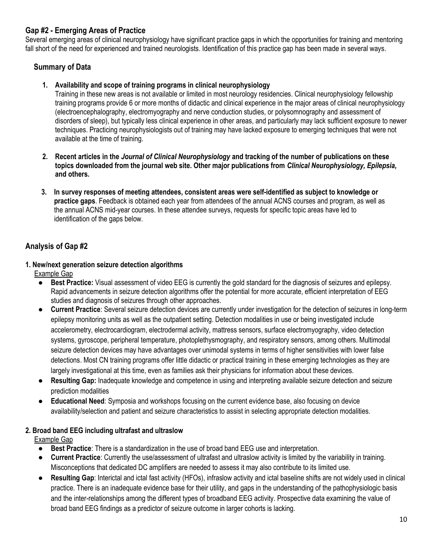### Gap #2 - Emerging Areas of Practice

Several emerging areas of clinical neurophysiology have significant practice gaps in which the opportunities for training and mentoring fall short of the need for experienced and trained neurologists. Identification of this practice gap has been made in several ways.

### Summary of Data

#### 1. Availability and scope of training programs in clinical neurophysiology

Training in these new areas is not available or limited in most neurology residencies. Clinical neurophysiology fellowship training programs provide 6 or more months of didactic and clinical experience in the major areas of clinical neurophysiology (electroencephalography, electromyography and nerve conduction studies, or polysomnography and assessment of disorders of sleep), but typically less clinical experience in other areas, and particularly may lack sufficient exposure to newer techniques. Practicing neurophysiologists out of training may have lacked exposure to emerging techniques that were not available at the time of training.

- 2. Recent articles in the Journal of Clinical Neurophysiology and tracking of the number of publications on these topics downloaded from the journal web site. Other major publications from Clinical Neurophysiology, Epilepsia, and others.
- 3. In survey responses of meeting attendees, consistent areas were self-identified as subject to knowledge or practice gaps. Feedback is obtained each year from attendees of the annual ACNS courses and program, as well as the annual ACNS mid-year courses. In these attendee surveys, requests for specific topic areas have led to identification of the gaps below.

### Analysis of Gap #2

# 1. New/next generation seizure detection algorithms

Example Gap

- Best Practice: Visual assessment of video EEG is currently the gold standard for the diagnosis of seizures and epilepsy. Rapid advancements in seizure detection algorithms offer the potential for more accurate, efficient interpretation of EEG studies and diagnosis of seizures through other approaches.
- **Current Practice:** Several seizure detection devices are currently under investigation for the detection of seizures in long-term epilepsy monitoring units as well as the outpatient setting. Detection modalities in use or being investigated include accelerometry, electrocardiogram, electrodermal activity, mattress sensors, surface electromyography, video detection systems, gyroscope, peripheral temperature, photoplethysmography, and respiratory sensors, among others. Multimodal seizure detection devices may have advantages over unimodal systems in terms of higher sensitivities with lower false detections. Most CN training programs offer little didactic or practical training in these emerging technologies as they are largely investigational at this time, even as families ask their physicians for information about these devices.
- Resulting Gap: Inadequate knowledge and competence in using and interpreting available seizure detection and seizure prediction modalities
- Educational Need: Symposia and workshops focusing on the current evidence base, also focusing on device availability/selection and patient and seizure characteristics to assist in selecting appropriate detection modalities.

#### 2. Broad band EEG including ultrafast and ultraslow

- Best Practice: There is a standardization in the use of broad band EEG use and interpretation.
- Current Practice: Currently the use/assessment of ultrafast and ultraslow activity is limited by the variability in training. Misconceptions that dedicated DC amplifiers are needed to assess it may also contribute to its limited use.
- Resulting Gap: Interictal and ictal fast activity (HFOs), infraslow activity and ictal baseline shifts are not widely used in clinical practice. There is an inadequate evidence base for their utility, and gaps in the understanding of the pathophysiologic basis and the inter-relationships among the different types of broadband EEG activity. Prospective data examining the value of broad band EEG findings as a predictor of seizure outcome in larger cohorts is lacking.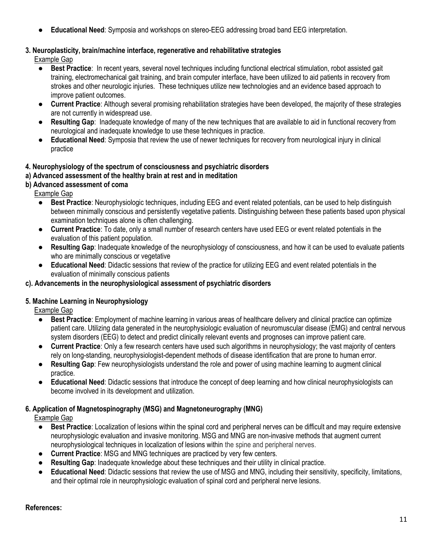● Educational Need: Symposia and workshops on stereo-EEG addressing broad band EEG interpretation.

### 3. Neuroplasticity, brain/machine interface, regenerative and rehabilitative strategies

Example Gap

- Best Practice: In recent years, several novel techniques including functional electrical stimulation, robot assisted gait training, electromechanical gait training, and brain computer interface, have been utilized to aid patients in recovery from strokes and other neurologic injuries. These techniques utilize new technologies and an evidence based approach to improve patient outcomes.
- **Current Practice:** Although several promising rehabilitation strategies have been developed, the majority of these strategies are not currently in widespread use.
- Resulting Gap: Inadequate knowledge of many of the new techniques that are available to aid in functional recovery from neurological and inadequate knowledge to use these techniques in practice.
- Educational Need: Symposia that review the use of newer techniques for recovery from neurological injury in clinical practice

### 4. Neurophysiology of the spectrum of consciousness and psychiatric disorders

### a) Advanced assessment of the healthy brain at rest and in meditation

### b) Advanced assessment of coma

Example Gap

- Best Practice: Neurophysiologic techniques, including EEG and event related potentials, can be used to help distinguish between minimally conscious and persistently vegetative patients. Distinguishing between these patients based upon physical examination techniques alone is often challenging.
- Current Practice: To date, only a small number of research centers have used EEG or event related potentials in the evaluation of this patient population.
- Resulting Gap: Inadequate knowledge of the neurophysiology of consciousness, and how it can be used to evaluate patients who are minimally conscious or vegetative
- Educational Need: Didactic sessions that review of the practice for utilizing EEG and event related potentials in the evaluation of minimally conscious patients

#### c). Advancements in the neurophysiological assessment of psychiatric disorders

### 5. Machine Learning in Neurophysiology

Example Gap

- Best Practice: Employment of machine learning in various areas of healthcare delivery and clinical practice can optimize patient care. Utilizing data generated in the neurophysiologic evaluation of neuromuscular disease (EMG) and central nervous system disorders (EEG) to detect and predict clinically relevant events and prognoses can improve patient care.
- Current Practice: Only a few research centers have used such algorithms in neurophysiology; the vast majority of centers rely on long-standing, neurophysiologist-dependent methods of disease identification that are prone to human error.
- **Resulting Gap**: Few neurophysiologists understand the role and power of using machine learning to augment clinical practice.
- Educational Need: Didactic sessions that introduce the concept of deep learning and how clinical neurophysiologists can become involved in its development and utilization.

# 6. Application of Magnetospinography (MSG) and Magnetoneurography (MNG)

Example Gap

- Best Practice: Localization of lesions within the spinal cord and peripheral nerves can be difficult and may require extensive neurophysiologic evaluation and invasive monitoring. MSG and MNG are non-invasive methods that augment current neurophysiological techniques in localization of lesions within the spine and peripheral nerves.
- **Current Practice: MSG and MNG techniques are practiced by very few centers.**
- Resulting Gap: Inadequate knowledge about these techniques and their utility in clinical practice.
- Educational Need: Didactic sessions that review the use of MSG and MNG, including their sensitivity, specificity, limitations, and their optimal role in neurophysiologic evaluation of spinal cord and peripheral nerve lesions.

#### References: